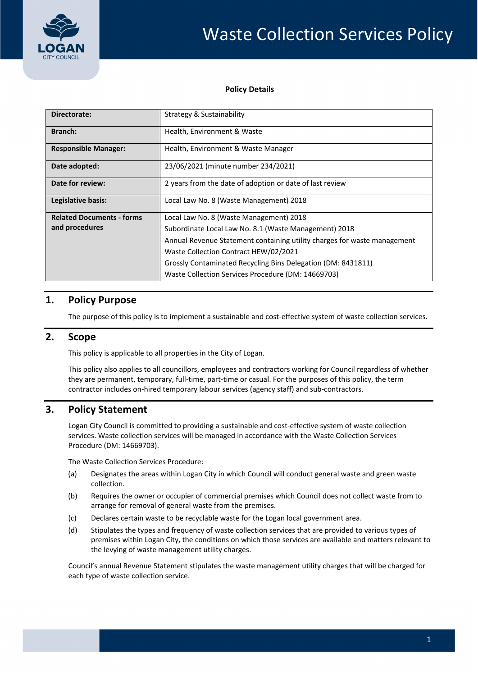

#### **Policy Details**

| Directorate:                     | Strategy & Sustainability                                                |  |  |
|----------------------------------|--------------------------------------------------------------------------|--|--|
| <b>Branch:</b>                   | Health, Environment & Waste                                              |  |  |
| <b>Responsible Manager:</b>      | Health, Environment & Waste Manager                                      |  |  |
| Date adopted:                    | 23/06/2021 (minute number 234/2021)                                      |  |  |
| Date for review:                 | 2 years from the date of adoption or date of last review                 |  |  |
| Legislative basis:               | Local Law No. 8 (Waste Management) 2018                                  |  |  |
| <b>Related Documents - forms</b> | Local Law No. 8 (Waste Management) 2018                                  |  |  |
| and procedures                   | Subordinate Local Law No. 8.1 (Waste Management) 2018                    |  |  |
|                                  | Annual Revenue Statement containing utility charges for waste management |  |  |
|                                  | Waste Collection Contract HEW/02/2021                                    |  |  |
|                                  | Grossly Contaminated Recycling Bins Delegation (DM: 8431811)             |  |  |
|                                  | Waste Collection Services Procedure (DM: 14669703)                       |  |  |

# **1. Policy Purpose**

The purpose of this policy is to implement a sustainable and cost‐effective system of waste collection services.

#### **2. Scope**

This policy is applicable to all properties in the City of Logan.

 This policy also applies to all councillors, employees and contractors working for Council regardless of whether they are permanent, temporary, full‐time, part‐time or casual. For the purposes of this policy, the term contractor includes on‐hired temporary labour services (agency staff) and sub‐contractors.

## **3. Policy Statement**

 Logan City Council is committed to providing a sustainable and cost‐effective system of waste collection services. Waste collection services will be managed in accordance with the Waste Collection Services Procedure (DM: 14669703).

The Waste Collection Services Procedure:

- (a) Designates the areas within Logan City in which Council will conduct general waste and green waste collection.
- (b) Requires the owner or occupier of commercial premises which Council does not collect waste from to arrange for removal of general waste from the premises.
- (c) Declares certain waste to be recyclable waste for the Logan local government area.
- (d) Stipulates the types and frequency of waste collection services that are provided to various types of premises within Logan City, the conditions on which those services are available and matters relevant to the levying of waste management utility charges.

 Council's annual Revenue Statement stipulates the waste management utility charges that will be charged for each type of waste collection service.